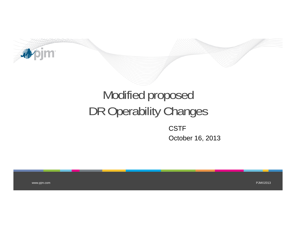

# Modified proposed DR Operability Changes

CSTF October 16, 2013

www.pjm.com

PJM©2013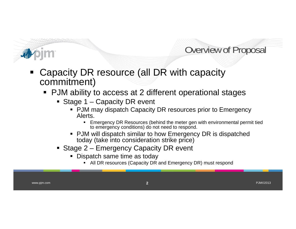### Overview of Proposal

#### Ξ Capacity DR resource (all DR with capacity commitment)

- PJM ability to access at 2 different operational stages
	- Stage 1 Capacity DR event
		- PJM may dispatch Capacity DR resources prior to Emergency Alerts.
			- Emergency DR Resources (behind the meter gen with environmental permit tied to emergency conditions) do not need to respond.
		- PJM will dispatch similar to how Emergency DR is dispatched today (take into consideration strike price)
	- Stage 2 Emergency Capacity DR event
		- Dispatch same time as today
			- All DR resources (Capacity DR and Emergency DR) must respond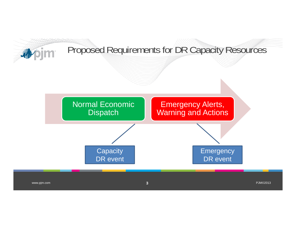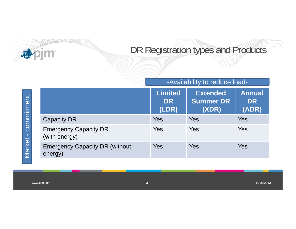

### DR Registration types and Products

#### -Availability to reduce load-

|                                                  | <b>Limited</b><br><b>DR</b><br>(LDR) | <b>Extended</b><br><b>Summer DR</b><br>(XDR) | <b>Annual</b><br><b>DR</b><br>(ADR) |
|--------------------------------------------------|--------------------------------------|----------------------------------------------|-------------------------------------|
| <b>Capacity DR</b>                               | <b>Yes</b>                           | Yes                                          | Yes                                 |
| <b>Emergency Capacity DR</b><br>(with energy)    | Yes                                  | Yes                                          | Yes                                 |
| <b>Emergency Capacity DR (without</b><br>energy) | <b>Yes</b>                           | Yes                                          | Yes                                 |

www.pjm.com

Market - commitment

Market - commitment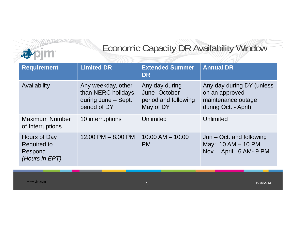## Economic Capacity DR Availability Window

| <b>Requirement</b>                                              | <b>Limited DR</b>                                                                | <b>Extended Summer</b><br><b>DR</b>                                 | <b>Annual DR</b>                                                                          |
|-----------------------------------------------------------------|----------------------------------------------------------------------------------|---------------------------------------------------------------------|-------------------------------------------------------------------------------------------|
| Availability                                                    | Any weekday, other<br>than NERC holidays,<br>during June - Sept.<br>period of DY | Any day during<br>June-October<br>period and following<br>May of DY | Any day during DY (unless<br>on an approved<br>maintenance outage<br>during Oct. - April) |
| <b>Maximum Number</b><br>of Interruptions                       | 10 interruptions                                                                 | Unlimited                                                           | Unlimited                                                                                 |
| Hours of Day<br><b>Required to</b><br>Respond<br>(Hours in EPT) | $12:00$ PM $-$ 8:00 PM                                                           | $10:00$ AM $- 10:00$<br><b>PM</b>                                   | $Jun - Oct.$ and following<br>May: $10 AM - 10 PM$<br>Nov. - April: 6 AM- 9 PM            |

**Apjm**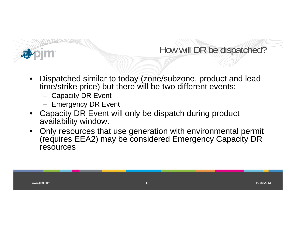

### How will DR be dispatched?

- • Dispatched similar to today (zone/subzone, product and lead time/strike price) but there will be two different events:
	- –Capacity DR Event
	- Emergency DR Event
- • Capacity DR Event will only be dispatch during product availability window.
- • Only resources that use generation with environmental permit (requires EEA2) may be considered Emergency Capacity DR resources

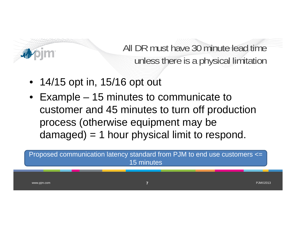

All DR must have 30 minute lead timeunless there is a physical limitation

- 14/15 opt in, 15/16 opt out
- Example 15 minutes to communicate to customer and 45 minutes to turn off production process (otherwise equipment may be damaged) = 1 hour physical limit to respond.

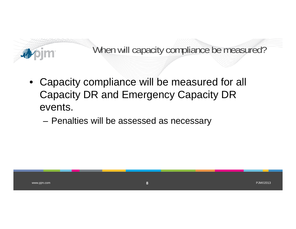

When will capacity compliance be measured?

- Capacity compliance will be measured for all Capacity DR and Emergency Capacity DR events.
	- Penalties will be assessed as necessary

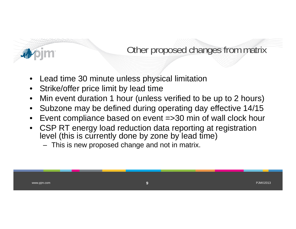### Other proposed changes from matrix

- •Lead time 30 minute unless physical limitation
- •Strike/offer price limit by lead time
- •Min event duration 1 hour (unless verified to be up to 2 hours)
- •Subzone may be defined during operating day effective 14/15
- •Event compliance based on event =>30 min of wall clock hour
- CSP RT energy load reduction data reporting at registration level (this is currently done by zone by lead time)
	- This is new proposed change and not in matrix.

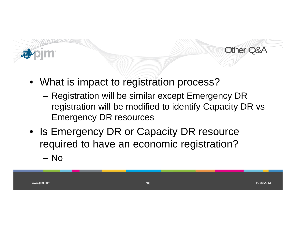



- What is impact to registration process?
	- – Registration will be similar except Emergency DR registration will be modified to identify Capacity DR vs Emergency DR resources
- Is Emergency DR or Capacity DR resource required to have an economic registration? – No

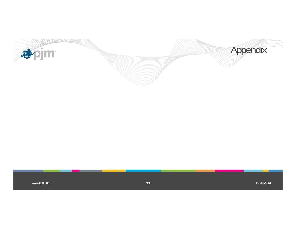